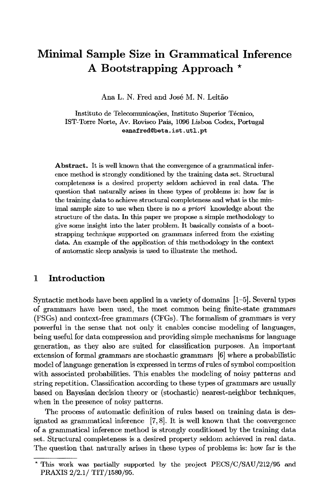# **Minimal Sample Size in Grammatical Inference A Bootstrapping Approach \***

Ana L. N. Fred and José M. N. Leitão

Instituto de Telecomunicações, Instituto Superior Técnico, IST-Torre Norte, Av. Rovisco Pals, 1096 Lisboa Codex, Portugal  $e$ anafred@beta.ist.utl.pt

Abstract. It is well known that the convergence of a grammatical inference method is strongly conditioned by the training data set. Structural completeness is a desired property seldom achieved in real data. The question that naturally arises in these types of problems is: how far is the training data to achieve structural completeness and what is the minimal sample size to use when there is *no a priori* knowledge about the structure of the data. In this paper we propose a simple methodology to give some insight into the later problem. It basically consists of a bootstrapping technique supported on grammars inferred from the existing data. An example of the application of this methodology in the context of automatic sleep analysis is used to illustrate the method.

#### **1 Introduction**

Syntactic methods have been applied in a variety of domains [1-5]. Several types of grammars have been used, the most common being finite-state grammars (FSGs) and context-free grammars (CFGs). The formalism of grammars is very powerful in the sense that not only it enables concise modeling of languages, being useful for data compression and providing simple mechanisms for language generation, as they also are suited for classification purposes. An important extension of formal grammars are stochastic grammars [6] where a probabilistic model of language generation is expressed in terms of rules of symbol composition with associated probabilities. This enables the modeling of noisy patterns and string repetition. Classification according to these types of grammars are usually based on Bayesian decision theory or (stochastic) nearest-neighbor techniques, when in the presence of noisy patterns.

The process of automatic definition of rules based on training data is designated as grammatical inference [7, 8]. It is well known that the convergence of a grammatical inference method is strongly conditioned by the training data set. Structural completeness is a desired property seldom achieved in real data. The question that naturally arises in these types of problems is: how far is the

<sup>\*</sup> This work was partially supported by the project PECS/C/SAU/212/95 and **PRAXIS 2/2.1/ TIT/1580/95.**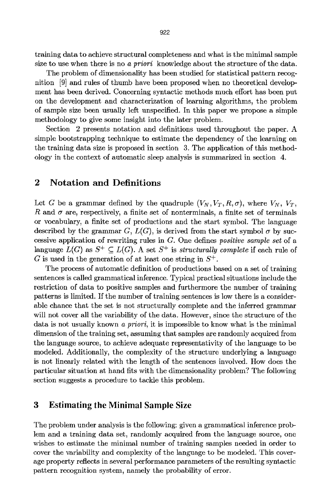training data to achieve structural completeness and what is the minimal sample size to use when there is no *a priori* knowledge about the structure of the data.

The problem of dimensionality has been studied for statistical pattern recognition [9] and rules of thumb have been proposed when no theoretical development has been derived. Concerning syntactic methods much effort has been put on the development and characterization of learning algorithms, the problem of sample size been usually left unspecified. In this paper we propose a simple methodology to give some insight into the later problem.

Section 2 presents notation and definitions used throughout the paper. A simple bootstrapping technique to estimate the dependency of the learning on the training data size is proposed in section 3. The application of this methodology in the context of automatic sleep analysis is summarized in section 4.

### **2 Notation and Definitions**

Let G be a grammar defined by the quadruple  $(V_N, V_T, R, \sigma)$ , where  $V_N$ ,  $V_T$ , R and  $\sigma$  are, respectively, a finite set of nonterminals, a finite set of terminals or vocabulary, a finite set of productions and the start symbol. The language described by the grammar G,  $L(G)$ , is derived from the start symbol  $\sigma$  by successive application of rewriting rules in G. One defines *positive sample set* of a language  $L(G)$  as  $S^+ \subseteq L(G)$ . A set  $S^+$  is *structurally complete* if each rule of G is used in the generation of at least one string in  $S^+$ .

The process of automatic definition of productions based on a set of training sentences is called grammatical inference. Typical practical situations include the restriction of data to positive samples and furthermore the number of training patterns is limited. If the number of training sentences is low there is a considerable chance that the set is not structurally complete and the inferred grammar will not cover all the variability of the data. However, since the structure of the data is not usually known *a priori,* it is impossible to know what is the minimal dimension of the training set, assuming that samples are randomly acquired from the language source, to achieve adequate representativity of the language to be modeled. Additionally, the complexity of the structure underlying a language is not linearly related with the length of the sentences involved. How does the particular situation at hand fits with the dimensionality problem? The following section suggests a procedure to tackle this problem.

#### **3 Estimating the Minimal Sample Size**

The problem under analysis is the following: given a grammatical inference problem and a training data set, randomly acquired from the language source, one wishes to estimate the minimal number of training samples needed in order to cover the variability and complexity of the language to be modeled. This coverage property reflects in several performance parameters of the resulting syntactic pattern recognition system, namely the probability of error.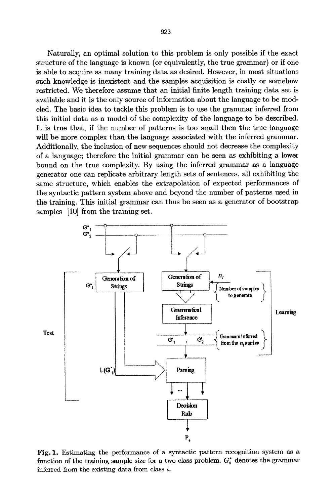Naturally, an optimal solution to this problem is only possible if the exact structure of the language is known (or equivalently, the true grammar) or if one is able to acquire as many training data as desired. However, in most situations such knowledge is inexistent and the samples acquisition is costly or somehow restricted. We therefore assume that an initial finite length training data set is available and it is the only source of information about the language to be modeled. The basic idea to tackle this problem is to use the grammar inferred from this initial data as a model of the complexity of the language to be described. It is true that, if the number of patterns is too small then the true language will be more complex than the language associated with the inferred grammar. Additionally, the inclusion of new sequences should not decrease the complexity of a language; therefore the initial grammar can be seen as exhibiting a lower bound on the true complexity. By using the inferred grammar as a language generator one can replicate arbitrary length sets of sentences, all exhibiting the same structure, which enables the extrapolation of expected performances of the syntactic pattern system above and beyond the number of patterns used in the training. This initial grammar can thus be seen as a generator of bootstrap samples [10] from the training set.



Fig. 1. Estimating the performance of a syntactic pattern recognition system as a function of the training sample size for a two class problem.  $G_i^*$  denotes the grammar inferred from the existing data from class i.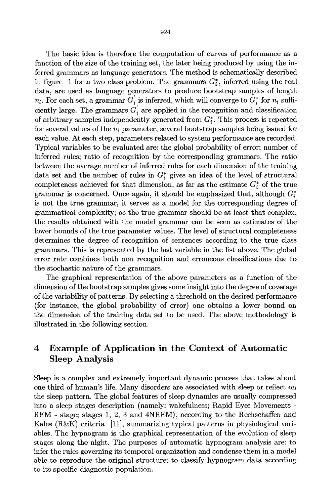The basic idea is therefore the computation of curves of performance as a function of the size of the training set, the later being produced by using the inferred grammars as language generators. The method is schematically described in figure 1 for a two class problem. The grammars  $G_i^*$ , inferred using the real data, are used as language generators to produce bootstrap samples of length  $n_l$ . For each set, a grammar  $G'_i$  is inferred, which will converge to  $G_i^*$  for  $n_l$  sufficiently large. The grammars  $G'_{i}$  are applied in the recognition and classification of arbitrary samples independently generated from  $G^*_i$ . This process is repeated for several values of the  $n_l$  parameter, several bootstrap samples being issued for each value. At each step, parameters related to system performance are recorded. Typical variables to be evaluated are: the global probability of error; number of inferred rules; ratio of recognition by the corresponding grammars. The ratio between the average number of inferred rules for each dimension of the training data set and the number of rules in  $G_i^*$  gives an idea of the level of structural completeness achieved for that dimension, as far as the estimate  $G_i^*$  of the true grammar is concerned. Once again, it should be emphasized that, although  $G_i^*$ is not the true grammar, it serves as a model for the corresponding degree of grammatical complexity; as the true grammar should be at least that complex, the results obtained with the model grammar can be seen as estimates of the lower bounds of the true parameter values. The level of structural completeness determines the degree of recognition of sentences according to the true class grammars. This is represented by the last variable in the list above. The global error rate combines both non recognition and erroneous classifications due to the stochastic nature of the grammars.

The graphical representation of the above parameters as a function of the dimension of the bootstrap samples gives some insight into the degree of coverage of the variability of patterns. By selecting a threshold on the desired performance (for instance, the global probability of error) one obtains a lower bound on the dimension of the training data set to be used. The above methodology is illustrated in the following section.

# **4 Example of Application in the Context of Automatic Sleep Analysis**

Sleep is a complex and extremely important dynamic process that takes about one third of human's life. Many disorders are associated with sleep or reflect on the sleep pattern. The global features of sleep dynamics are usually compressed into a sleep stages description (namely: wakefulness; Rapid Eyes Movements - REM **-** stage; stages 1, 2, 3 and 4NREM), according to the Rechschaffen and Kales  $(R\&K)$  criteria [11], summarizing typical patterns in physiological variables. The hypnogram is the graphical representation of the evolution of sleep stages along the night. The purposes of automatic hypnogram analysis are: to infer the rules governing its temporal organization and condense them in a model able to reproduce the original structure; to classify hypnogram data according to its specific diagnostic population.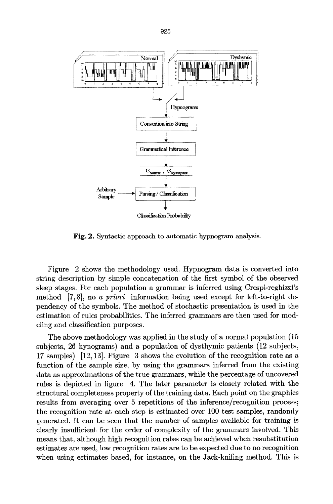

Fig. 2. Syntactic approach to automatic hypnogram analysis.

Figure 2 shows the methodology used. Hypnogram data is converted into string description by simple concatenation of the first symbol of the observed sleep stages. For each population a grammar is inferred using Crespi-reghizzi's method [7,8], no *a priori* information being used except for left-to-right dependency of the symbols. The method of stochastic presentation is used in the estimation of rules probabilities. The inferred grammars are then used for modeling and classification purposes.

The above methodology was applied in the study of a normal population (15 subjects, 26 hynograms) and a population of dysthymie patients (12 subjects, 17 samples) [12,13]. Figure 3 shows the evolution of the recognition rate as a function of the sample size, by using the grammars inferred from the existing data as approximations of the true grammars, while the percentage of uncovered rules is depicted in figure 4. The later parameter is closely related with the structural completeness property of the training data. Each point on the graphics results from averaging over 5 repetitions of the inference/recognition process; the recognition rate at each step is estimated over 100 test samples, randomly generated. It can be seen that the number of samples available for training is clearly insufficient for the order of complexity of the grammars involved. This means that, although high recognition rates can be achieved when resubstitution estimates are used, low recognition rates are to be expected due to no recognition when using estimates based, for instance, on the Jack-knifing method. This is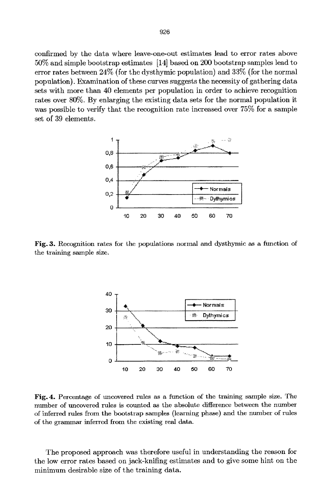confirmed by the data where leave-one-out estimates lead to error rates above 50% and simple bootstrap estimates [14] based on 200 bootstrap samples lead to error rates between 24% (for the dysthymic population) and 33% (for the normal population). Examination of these curves suggests the necessity of gathering data sets with more than 40 elements per population in order to achieve recognition rates over 80%. By enlarging the existing data sets for the normal population it was possible to verify that the recognition rate increased over 75% for a sample set of 39 elements.



Fig. 3. Recognition rates for the populations normal and dysthymic as a function of the training sample size.



Fig. 4. Percentage of uncovered rules as a function of the training sample size. The number of uncovered rules is counted as the absolute difference between the number of inferred rules from the bootstrap samples (learning phase) and the number of rules of the grammar inferred from the existing real data.

The proposed approach was therefore useful in understanding the reason for the low error rates based on jack-knifing estimates and to give some hint on the minimum desirable size of the training data.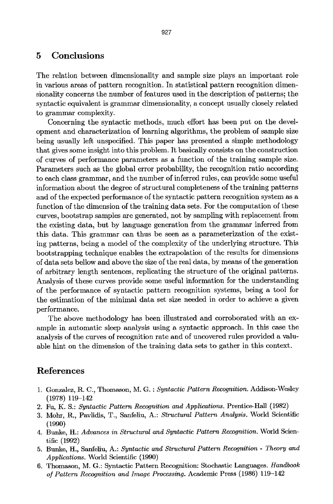#### 5 Conclusions

The relation between dimensionality and sample size plays an important role in various areas of pattern recognition. In statistical pattern recognition dimensionality concerns the number of features used in the description of patterns; the syntactic equivalent is grammar dimensionality, a concept usually closely related to grammar complexity.

Concerning the syntactic methods, much effort has been put on the development and characterization of learning algorithms, the problem of sample size being usually left unspecified. This paper has presented a simple methodology that gives some insight into this problem. It basically consists on the construction of curves of performance parameters as a flmction of the training sample size. Parameters such as the global error probability, the recognition ratio according to each class grammar, and the number of inferred rules, can provide some useful information about the degree of structural completeness of the training patterns and of the expected performance of the syntactic pattern recognition system as a function of the dimension of the training data sets. For the computation of these curves, bootstrap samples are generated, not by sampling with replacement from the existing data, but by language generation from the grammar inferred from this data. This grammar can thus be seen as a parameterization of the existing patterns, being a model of the complexity of the underlying structure. This bootstrapping technique enables the extrapolation of the results for dimensions of data sets bellow and above the size of the real data, by means of the generation of arbitrary length sentences, replicating the structure of the original patterns. Analysis of these curves provide some useful information for the understanding of the performance of syntactic pattern recognition systems, being a tool for the estimation of the minimal data set size needed in order to achieve a given performance.

The above methodology has been illustrated and corroborated with an example in automatic sleep analysis using a syntactic approach. In this ease the analysis of the curves of recognition rate and of uncovered rules provided a valuable hint on the dimension of the training data sets to gather in this context.

## **References**

- 1. Gonzalez, R. C., Thomason, M. G. : *Syntactic Pattern Recognition.* Addison-Wesley  $(1978)$  119-142
- 2. Fu, K. S.: *Syntactic Pattern Recognition and Applications.* Prentice-Hall (1982)
- 3. Mohr, R., Pavlidis, T., Sanfeliu, A.: *Structural Pattern Analysis*. World Scientific **(1990)**
- 4. Bunko, H.: *Advances in Structural and Syntactic Pattern Recognition.* World Scientific (1992)
- 5. Bunke, H., Sanfeliu, A.: *Syntactic and Structural Pattern Recognition Theory and Applications.* World Scientific (1990)
- 6. Thomason, M. G.: Syntactic Pattern Recognition: Stochastic Languages. *Handbook of Pattern Recognition and Image Processing.* Academic Press (1986) 119-142